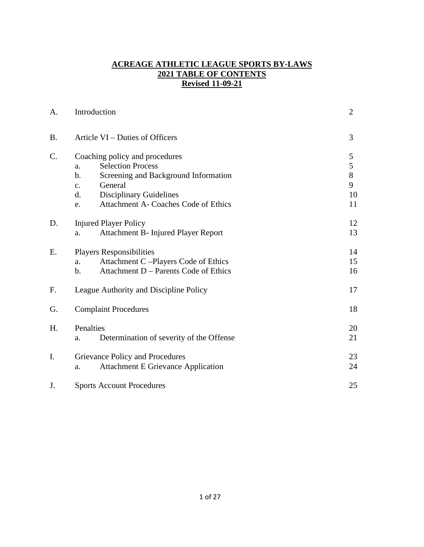## **ACREAGE ATHLETIC LEAGUE SPORTS BY-LAWS 2021 TABLE OF CONTENTS Revised 11-09-21**

| A.        | Introduction                                                                                                                                                                                                                                 | $\overline{2}$                   |
|-----------|----------------------------------------------------------------------------------------------------------------------------------------------------------------------------------------------------------------------------------------------|----------------------------------|
| <b>B.</b> | Article VI – Duties of Officers                                                                                                                                                                                                              | 3                                |
| C.        | Coaching policy and procedures<br><b>Selection Process</b><br>a.<br>Screening and Background Information<br>$\mathbf b$ .<br>General<br>$\mathbf{c}$ .<br><b>Disciplinary Guidelines</b><br>d.<br>Attachment A- Coaches Code of Ethics<br>e. | 5<br>5<br>$8\,$<br>9<br>10<br>11 |
| D.        | <b>Injured Player Policy</b><br>Attachment B- Injured Player Report<br>a.                                                                                                                                                                    | 12<br>13                         |
| Ε.        | <b>Players Responsibilities</b><br>Attachment C-Players Code of Ethics<br>a.<br>Attachment D – Parents Code of Ethics<br>b.                                                                                                                  | 14<br>15<br>16                   |
| F.        | League Authority and Discipline Policy                                                                                                                                                                                                       | 17                               |
| G.        | <b>Complaint Procedures</b>                                                                                                                                                                                                                  | 18                               |
| H.        | Penalties<br>Determination of severity of the Offense<br>a.                                                                                                                                                                                  | 20<br>21                         |
| I.        | Grievance Policy and Procedures<br><b>Attachment E Grievance Application</b><br>a.                                                                                                                                                           | 23<br>24                         |
| J.        | <b>Sports Account Procedures</b>                                                                                                                                                                                                             | 25                               |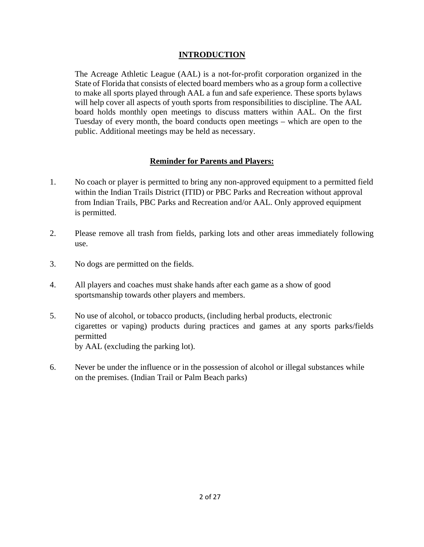# **INTRODUCTION**

The Acreage Athletic League (AAL) is a not-for-profit corporation organized in the State of Florida that consists of elected board members who as a group form a collective to make all sports played through AAL a fun and safe experience. These sports bylaws will help cover all aspects of youth sports from responsibilities to discipline. The AAL board holds monthly open meetings to discuss matters within AAL. On the first Tuesday of every month, the board conducts open meetings – which are open to the public. Additional meetings may be held as necessary.

### **Reminder for Parents and Players:**

- 1. No coach or player is permitted to bring any non-approved equipment to a permitted field within the Indian Trails District (ITID) or PBC Parks and Recreation without approval from Indian Trails, PBC Parks and Recreation and/or AAL. Only approved equipment is permitted.
- 2. Please remove all trash from fields, parking lots and other areas immediately following use.
- 3. No dogs are permitted on the fields.
- 4. All players and coaches must shake hands after each game as a show of good sportsmanship towards other players and members.
- 5. No use of alcohol, or tobacco products, (including herbal products, electronic cigarettes or vaping) products during practices and games at any sports parks/fields permitted by AAL (excluding the parking lot).
- 6. Never be under the influence or in the possession of alcohol or illegal substances while on the premises. (Indian Trail or Palm Beach parks)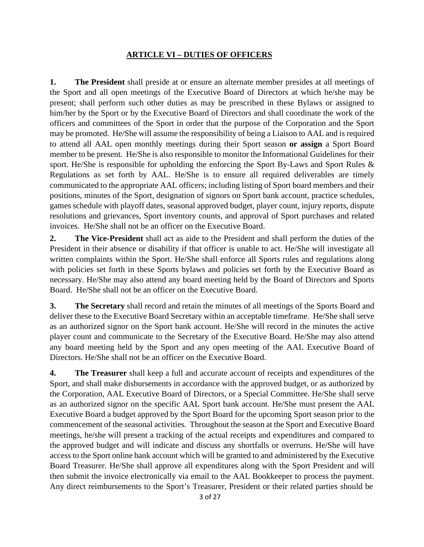## **ARTICLE VI – DUTIES OF OFFICERS**

**1. The President** shall preside at or ensure an alternate member presides at all meetings of the Sport and all open meetings of the Executive Board of Directors at which he/she may be present; shall perform such other duties as may be prescribed in these Bylaws or assigned to him/her by the Sport or by the Executive Board of Directors and shall coordinate the work of the officers and committees of the Sport in order that the purpose of the Corporation and the Sport may be promoted. He/She will assume the responsibility of being a Liaison to AAL and is required to attend all AAL open monthly meetings during their Sport season **or assign** a Sport Board member to be present. He/She is also responsible to monitor the Informational Guidelines for their sport. He/She is responsible for upholding the enforcing the Sport By-Laws and Sport Rules & Regulations as set forth by AAL. He/She is to ensure all required deliverables are timely communicated to the appropriate AAL officers; including listing of Sport board members and their positions, minutes of the Sport, designation of signors on Sport bank account, practice schedules, games schedule with playoff dates, seasonal approved budget, player count, injury reports, dispute resolutions and grievances, Sport inventory counts, and approval of Sport purchases and related invoices. He/She shall not be an officer on the Executive Board.

**2. The Vice-President** shall act as aide to the President and shall perform the duties of the President in their absence or disability if that officer is unable to act. He/She will investigate all written complaints within the Sport. He/She shall enforce all Sports rules and regulations along with policies set forth in these Sports bylaws and policies set forth by the Executive Board as necessary. He/She may also attend any board meeting held by the Board of Directors and Sports Board. He/She shall not be an officer on the Executive Board.

**3. The Secretary** shall record and retain the minutes of all meetings of the Sports Board and deliver these to the Executive Board Secretary within an acceptable timeframe. He/She shall serve as an authorized signor on the Sport bank account. He/She will record in the minutes the active player count and communicate to the Secretary of the Executive Board. He/She may also attend any board meeting held by the Sport and any open meeting of the AAL Executive Board of Directors. He/She shall not be an officer on the Executive Board.

**4. The Treasurer** shall keep a full and accurate account of receipts and expenditures of the Sport, and shall make disbursements in accordance with the approved budget, or as authorized by the Corporation, AAL Executive Board of Directors, or a Special Committee. He/She shall serve as an authorized signor on the specific AAL Sport bank account. He/She must present the AAL Executive Board a budget approved by the Sport Board for the upcoming Sport season prior to the commencement of the seasonal activities. Throughout the season at the Sport and Executive Board meetings, he/she will present a tracking of the actual receipts and expenditures and compared to the approved budget and will indicate and discuss any shortfalls or overruns. He/She will have access to the Sport online bank account which will be granted to and administered by the Executive Board Treasurer. He/She shall approve all expenditures along with the Sport President and will then submit the invoice electronically via email to the AAL Bookkeeper to process the payment. Any direct reimbursements to the Sport's Treasurer, President or their related parties should be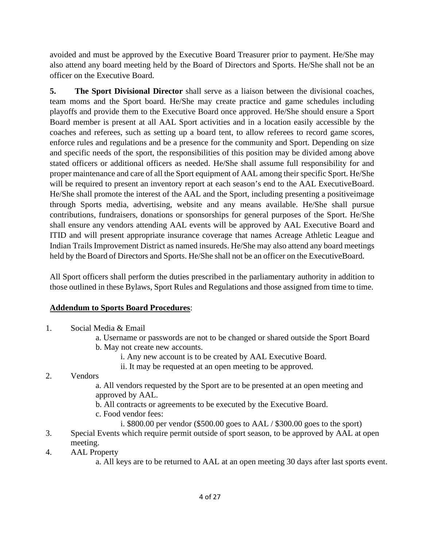avoided and must be approved by the Executive Board Treasurer prior to payment. He/She may also attend any board meeting held by the Board of Directors and Sports. He/She shall not be an officer on the Executive Board.

**5. The Sport Divisional Director** shall serve as a liaison between the divisional coaches, team moms and the Sport board. He/She may create practice and game schedules including playoffs and provide them to the Executive Board once approved. He/She should ensure a Sport Board member is present at all AAL Sport activities and in a location easily accessible by the coaches and referees, such as setting up a board tent, to allow referees to record game scores, enforce rules and regulations and be a presence for the community and Sport. Depending on size and specific needs of the sport, the responsibilities of this position may be divided among above stated officers or additional officers as needed. He/She shall assume full responsibility for and proper maintenance and care of all the Sport equipment of AAL among their specific Sport. He/She will be required to present an inventory report at each season's end to the AAL Executive Board. He/She shall promote the interest of the AAL and the Sport, including presenting a positive image through Sports media, advertising, website and any means available. He/She shall pursue contributions, fundraisers, donations or sponsorships for general purposes of the Sport. He/She shall ensure any vendors attending AAL events will be approved by AAL Executive Board and ITID and will present appropriate insurance coverage that names Acreage Athletic League and Indian Trails Improvement District as named insureds. He/She may also attend any board meetings held by the Board of Directors and Sports. He/She shall not be an officer on the Executive Board.

All Sport officers shall perform the duties prescribed in the parliamentary authority in addition to those outlined in these Bylaws, Sport Rules and Regulations and those assigned from time to time.

# **Addendum to Sports Board Procedures**:

- 1. Social Media & Email
	- a. Username or passwords are not to be changed or shared outside the Sport Board b. May not create new accounts.
		- i. Any new account is to be created by AAL Executive Board.
		- ii. It may be requested at an open meeting to be approved.

### 2. Vendors

a. All vendors requested by the Sport are to be presented at an open meeting and approved by AAL.

b. All contracts or agreements to be executed by the Executive Board.

- c. Food vendor fees:
	- i. \$800.00 per vendor (\$500.00 goes to AAL / \$300.00 goes to the sport)
- 3. Special Events which require permit outside of sport season, to be approved by AAL at open meeting.
- 4. AAL Property

a. All keys are to be returned to AAL at an open meeting 30 days after last sports event.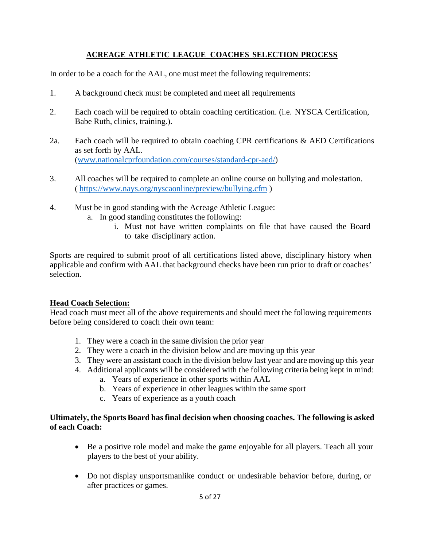# **ACREAGE ATHLETIC LEAGUE COACHES SELECTION PROCESS**

In order to be a coach for the AAL, one must meet the following requirements:

- 1. A background check must be completed and meet all requirements
- 2. Each coach will be required to obtain coaching certification. (i.e. NYSCA Certification, Babe Ruth, clinics, training.).
- 2a. Each coach will be required to obtain coaching CPR certifications & AED Certifications as set forth by AAL. [\(www.nationalcprfoundation.com/courses/standard-cpr-aed/\)](http://www.nationalcprfoundation.com/courses/standard-cpr-aed/)
- 3. All coaches will be required to complete an online course on bullying and molestation. ( [https://www.nays.org/nyscaonline/preview/bullying.cfm \)](https://www.nays.org/nyscaonline/preview/bullying.cfm)
- 4. Must be in good standing with the Acreage Athletic League:
	- a. In good standing constitutes the following:
		- i. Must not have written complaints on file that have caused the Board to take disciplinary action.

Sports are required to submit proof of all certifications listed above, disciplinary history when applicable and confirm with AAL that background checks have been run prior to draft or coaches' selection.

#### **Head Coach Selection:**

Head coach must meet all of the above requirements and should meet the following requirements before being considered to coach their own team:

- 1. They were a coach in the same division the prior year
- 2. They were a coach in the division below and are moving up this year
- 3. They were an assistant coach in the division below last year and are moving up this year
- 4. Additional applicants will be considered with the following criteria being kept in mind:
	- a. Years of experience in other sports within AAL
	- b. Years of experience in other leagues within the same sport
	- c. Years of experience as a youth coach

### **Ultimately, the Sports Board has final decision when choosing coaches. The following is asked of each Coach:**

- Be a positive role model and make the game enjoyable for all players. Teach all your players to the best of your ability.
- Do not display unsportsmanlike conduct or undesirable behavior before, during, or after practices or games.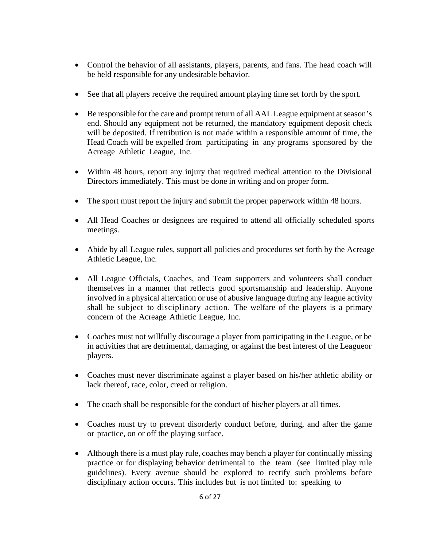- Control the behavior of all assistants, players, parents, and fans. The head coach will be held responsible for any undesirable behavior.
- See that all players receive the required amount playing time set forth by the sport.
- Be responsible for the care and prompt return of all AAL League equipment at season's end. Should any equipment not be returned, the mandatory equipment deposit check will be deposited. If retribution is not made within a responsible amount of time, the Head Coach will be expelled from participating in any programs sponsored by the Acreage Athletic League, Inc.
- Within 48 hours, report any injury that required medical attention to the Divisional Directors immediately. This must be done in writing and on proper form.
- The sport must report the injury and submit the proper paperwork within 48 hours.
- All Head Coaches or designees are required to attend all officially scheduled sports meetings.
- Abide by all League rules, support all policies and procedures set forth by the Acreage Athletic League, Inc.
- All League Officials, Coaches, and Team supporters and volunteers shall conduct themselves in a manner that reflects good sportsmanship and leadership. Anyone involved in a physical altercation or use of abusive language during any league activity shall be subject to disciplinary action. The welfare of the players is a primary concern of the Acreage Athletic League, Inc.
- Coaches must not willfully discourage a player from participating in the League, or be in activities that are detrimental, damaging, or against the best interest of the League or players.
- Coaches must never discriminate against a player based on his/her athletic ability or lack thereof, race, color, creed or religion.
- The coach shall be responsible for the conduct of his/her players at all times.
- Coaches must try to prevent disorderly conduct before, during, and after the game or practice, on or off the playing surface.
- Although there is a must play rule, coaches may bench a player for continually missing practice or for displaying behavior detrimental to the team (see limited play rule guidelines). Every avenue should be explored to rectify such problems before disciplinary action occurs. This includes but is not limited to: speaking to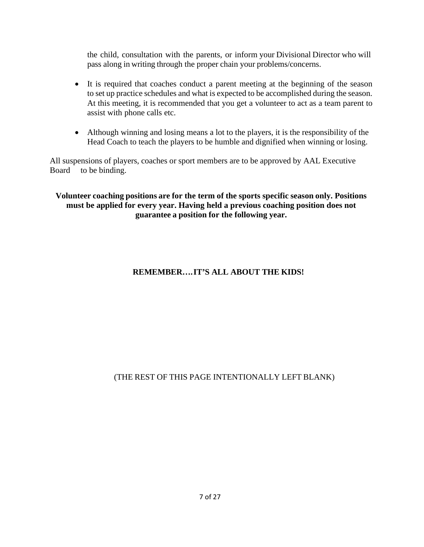the child, consultation with the parents, or inform your Divisional Director who will pass along in writing through the proper chain your problems/concerns.

- It is required that coaches conduct a parent meeting at the beginning of the season to set up practice schedules and what is expected to be accomplished during the season. At this meeting, it is recommended that you get a volunteer to act as a team parent to assist with phone calls etc.
- Although winning and losing means a lot to the players, it is the responsibility of the Head Coach to teach the players to be humble and dignified when winning or losing.

All suspensions of players, coaches or sport members are to be approved by AAL Executive Board to be binding.

**Volunteer coaching positions are for the term of the sports specific season only. Positions must be applied for every year. Having held a previous coaching position does not guarantee a position for the following year.** 

# **REMEMBER…. IT'S ALL ABOUT THE KIDS!**

# (THE REST OF THIS PAGE INTENTIONALLY LEFT BLANK)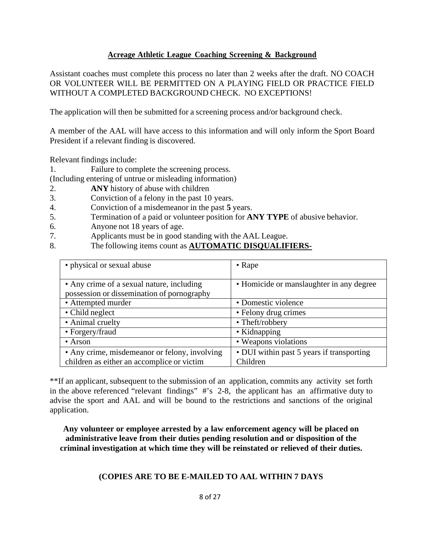### **Acreage Athletic League Coaching Screening & Background**

Assistant coaches must complete this process no later than 2 weeks after the draft. NO COACH OR VOLUNTEER WILL BE PERMITTED ON A PLAYING FIELD OR PRACTICE FIELD WITHOUT A COMPLETED BACKGROUND CHECK. NO EXCEPTIONS!

The application will then be submitted for a screening process and/or background check.

A member of the AAL will have access to this information and will only inform the Sport Board President if a relevant finding is discovered.

Relevant findings include:

1. Failure to complete the screening process.

(Including entering of untrue or misleading information)

- 2. **ANY** history of abuse with children
- 3. Conviction of a felony in the past 10 years.
- 4. Conviction of a misdemeanor in the past **5** years.
- 5. Termination of a paid or volunteer position for **ANY TYPE** of abusive behavior.
- 6. Anyone not 18 years of age.
- 7. Applicants must be in good standing with the AAL League.
- 8. The following items count as **AUTOMATIC DISQUALIFIERS-**

| • physical or sexual abuse                                                              | $\bullet$ Rape                            |
|-----------------------------------------------------------------------------------------|-------------------------------------------|
| • Any crime of a sexual nature, including<br>possession or dissemination of pornography | • Homicide or manslaughter in any degree  |
| • Attempted murder                                                                      | • Domestic violence                       |
| • Child neglect                                                                         | • Felony drug crimes                      |
| • Animal cruelty                                                                        | • Theft/robbery                           |
| • Forgery/fraud                                                                         | • Kidnapping                              |
| $\bullet$ Arson                                                                         | • Weapons violations                      |
| • Any crime, misdemeanor or felony, involving                                           | • DUI within past 5 years if transporting |
| children as either an accomplice or victim                                              | Children                                  |

\*\*If an applicant, subsequent to the submission of an application, commits any activity set forth in the above referenced "relevant findings" #'s 2-8, the applicant has an affirmative duty to advise the sport and AAL and will be bound to the restrictions and sanctions of the original application.

**Any volunteer or employee arrested by a law enforcement agency will be placed on administrative leave from their duties pending resolution and or disposition of the criminal investigation at which time they will be reinstated or relieved of their duties.** 

### **(COPIES ARE TO BE E-MAILED TO AAL WITHIN 7 DAYS**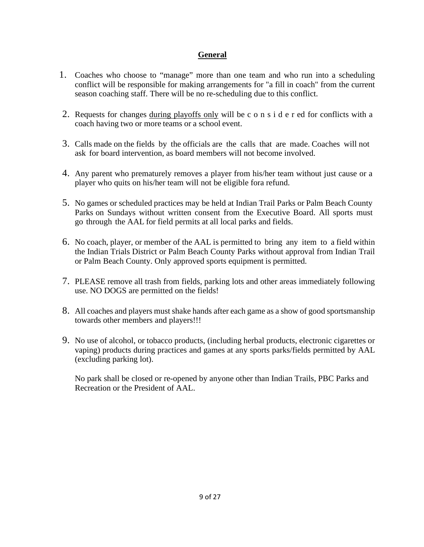# **General**

- 1. Coaches who choose to "manage" more than one team and who run into a scheduling conflict will be responsible for making arrangements for "a fill in coach" from the current season coaching staff. There will be no re-scheduling due to this conflict.
- 2. Requests for changes during playoffs only will be c o n s i d e r ed for conflicts with a coach having two or more teams or a school event.
- 3. Calls made on the fields by the officials are the calls that are made. Coaches will not ask for board intervention, as board members will not become involved.
- 4. Any parent who prematurely removes a player from his/her team without just cause or a player who quits on his/her team will not be eligible fora refund.
- 5. No games or scheduled practices may be held at Indian Trail Parks or Palm Beach County Parks on Sundays without written consent from the Executive Board. All sports must go through the AAL for field permits at all local parks and fields.
- 6. No coach, player, or member of the AAL is permitted to bring any item to a field within the Indian Trials District or Palm Beach County Parks without approval from Indian Trail or Palm Beach County. Only approved sports equipment is permitted.
- 7. PLEASE remove all trash from fields, parking lots and other areas immediately following use. NO DOGS are permitted on the fields!
- 8. All coaches and players must shake hands after each game as a show of good sportsmanship towards other members and players!!!
- 9. No use of alcohol, or tobacco products, (including herbal products, electronic cigarettes or vaping) products during practices and games at any sports parks/fields permitted by AAL (excluding parking lot).

No park shall be closed or re-opened by anyone other than Indian Trails, PBC Parks and Recreation or the President of AAL.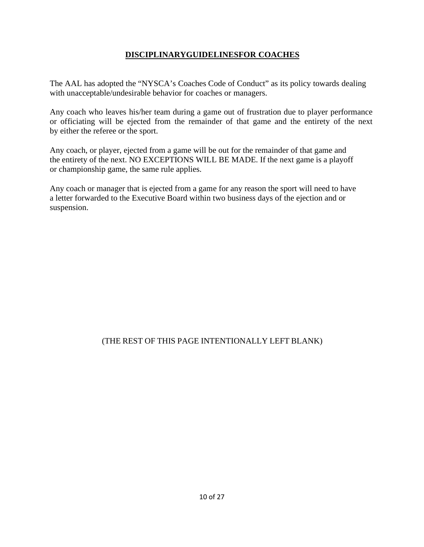# **DISCIPLINARYGUIDELINESFOR COACHES**

The AAL has adopted the "NYSCA's Coaches Code of Conduct" as its policy towards dealing with unacceptable/undesirable behavior for coaches or managers.

Any coach who leaves his/her team during a game out of frustration due to player performance or officiating will be ejected from the remainder of that game and the entirety of the next by either the referee or the sport.

Any coach, or player, ejected from a game will be out for the remainder of that game and the entirety of the next. NO EXCEPTIONS WILL BE MADE. If the next game is a playoff or championship game, the same rule applies.

Any coach or manager that is ejected from a game for any reason the sport will need to have a letter forwarded to the Executive Board within two business days of the ejection and or suspension.

# (THE REST OF THIS PAGE INTENTIONALLY LEFT BLANK)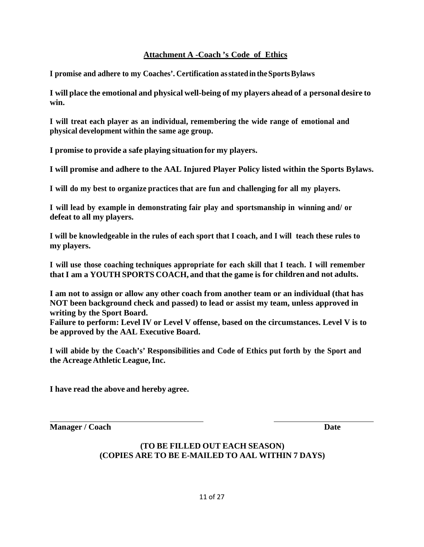# **Attachment A -Coach 's Code of Ethics**

**I promise and adhere to my Coaches'. Certification as stated in the Sports Bylaws** 

**I will place the emotional and physical well-being of my players ahead of a personal desire to win.** 

**I will treat each player as an individual, remembering the wide range of emotional and physical development within the same age group.** 

**I promise to provide a safe playing situation for my players.** 

**I will promise and adhere to the AAL Injured Player Policy listed within the Sports Bylaws.** 

**I will do my best to organize practices that are fun and challenging for all my players.** 

**I will lead by example in demonstrating fair play and sportsmanship in winning and/ or defeat to all my players.** 

**I will be knowledgeable in the rules of each sport that I coach, and I will teach these rules to my players.** 

**I will use those coaching techniques appropriate for each skill that I teach. I will remember that I am a YOUTH SPORTS COACH, and that the game is for children and not adults.** 

**I am not to assign or allow any other coach from another team or an individual (that has NOT been background check and passed) to lead or assist my team, unless approved in writing by the Sport Board.** 

**Failure to perform: Level IV or Level V offense, based on the circumstances. Level V is to be approved by the AAL Executive Board.** 

**I will abide by the Coach's' Responsibilities and Code of Ethics put forth by the Sport and the Acreage Athletic League, Inc.** 

**I have read the above and hereby agree.** 

**Manager / Coach Date** 

# **(TO BE FILLED OUT EACH SEASON) (COPIES ARE TO BE E-MAILED TO AAL WITHIN 7 DAYS)**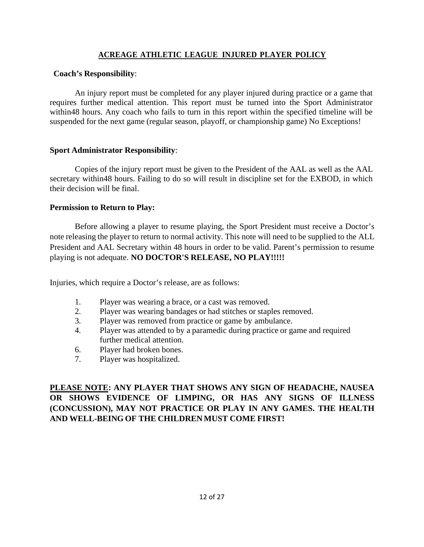### **ACREAGE ATHLETIC LEAGUE INJURED PLAYER POLICY**

#### **Coach's Responsibility**:

An injury report must be completed for any player injured during practice or a game that requires further medical attention. This report must be turned into the Sport Administrator within48 hours. Any coach who fails to turn in this report within the specified timeline will be suspended for the next game (regular season, playoff, or championship game) No Exceptions!

#### **Sport Administrator Responsibility**:

Copies of the injury report must be given to the President of the AAL as well as the AAL secretary within48 hours. Failing to do so will result in discipline set for the EXBOD, in which their decision will be final.

#### **Permission to Return to Play:**

Before allowing a player to resume playing, the Sport President must receive a Doctor's note releasing the player to return to normal activity. This note will need to be supplied to the ALL President and AAL Secretary within 48 hours in order to be valid. Parent's permission to resume playing is not adequate. **NO DOCTOR'S RELEASE, NO PLAY!!!!!** 

Injuries, which require a Doctor's release, are as follows:

- 1. Player was wearing a brace, or a cast was removed.
- 2. Player was wearing bandages or had stitches or staples removed.
- 3. Player was removed from practice or game by ambulance.
- 4. Player was attended to by a paramedic during practice or game and required further medical attention.
- 6. Player had broken bones.
- 7. Player was hospitalized.

**PLEASE NOTE: ANY PLAYER THAT SHOWS ANY SIGN OF HEADACHE, NAUSEA OR SHOWS EVIDENCE OF LIMPING, OR HAS ANY SIGNS OF ILLNESS (CONCUSSION), MAY NOT PRACTICE OR PLAY IN ANY GAMES. THE HEALTH AND WELL-BEING OF THE CHILDREN MUST COME FIRST!**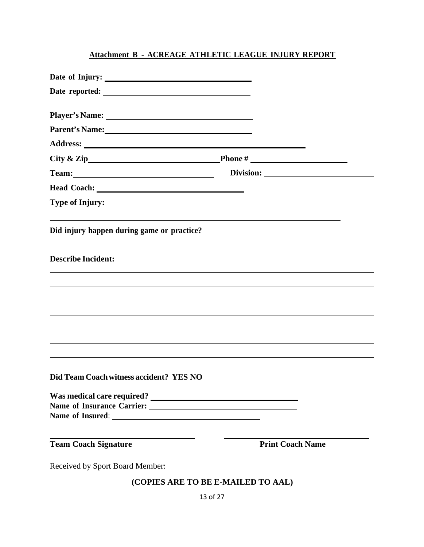# **Attachment B - ACREAGE ATHLETIC LEAGUE INJURY REPORT**

| Date of Injury:                                                                                                                                                                                                                |                                    |
|--------------------------------------------------------------------------------------------------------------------------------------------------------------------------------------------------------------------------------|------------------------------------|
|                                                                                                                                                                                                                                |                                    |
| Player's Name: <u>Department</u>                                                                                                                                                                                               |                                    |
| Parent's Name:                                                                                                                                                                                                                 |                                    |
|                                                                                                                                                                                                                                |                                    |
|                                                                                                                                                                                                                                |                                    |
| Team: Team and the state of the state of the state of the state of the state of the state of the state of the state of the state of the state of the state of the state of the state of the state of the state of the state of |                                    |
|                                                                                                                                                                                                                                |                                    |
| <b>Type of Injury:</b>                                                                                                                                                                                                         |                                    |
| Did injury happen during game or practice?                                                                                                                                                                                     |                                    |
| <b>Describe Incident:</b>                                                                                                                                                                                                      |                                    |
|                                                                                                                                                                                                                                |                                    |
|                                                                                                                                                                                                                                |                                    |
|                                                                                                                                                                                                                                |                                    |
|                                                                                                                                                                                                                                |                                    |
|                                                                                                                                                                                                                                |                                    |
| Did Team Coach witness accident? YES NO                                                                                                                                                                                        |                                    |
|                                                                                                                                                                                                                                |                                    |
|                                                                                                                                                                                                                                |                                    |
|                                                                                                                                                                                                                                |                                    |
| <b>Team Coach Signature</b>                                                                                                                                                                                                    | <b>Print Coach Name</b>            |
|                                                                                                                                                                                                                                |                                    |
|                                                                                                                                                                                                                                | (COPIES ARE TO BE E-MAILED TO AAL) |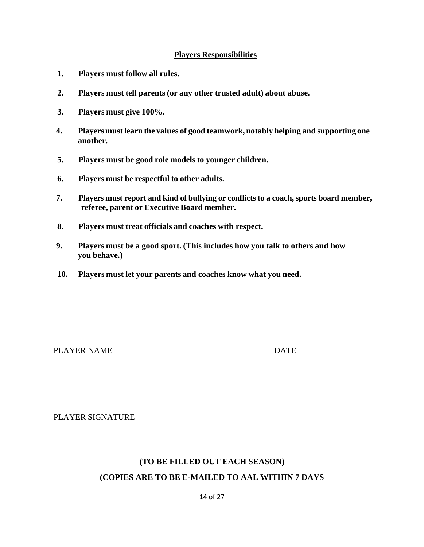### **Players Responsibilities**

- **1. Players must follow all rules.**
- **2. Players must tell parents (or any other trusted adult) about abuse.**
- **3. Players must give 100%.**
- **4. Players must learn the values of good teamwork, notably helping and supporting one another.**
- **5. Players must be good role models to younger children.**
- **6. Players must be respectful to other adults.**
- **7. Players must report and kind of bullying or conflicts to a coach, sports board member, referee, parent or Executive Board member.**
- **8. Players must treat officials and coaches with respect.**
- **9. Players must be a good sport. (This includes how you talk to others and how you behave.)**
- **10. Players must let your parents and coaches know what you need.**

PLAYER NAME

PLAYER SIGNATURE

### **(TO BE FILLED OUT EACH SEASON)**

### **(COPIES ARE TO BE E-MAILED TO AAL WITHIN 7 DAYS**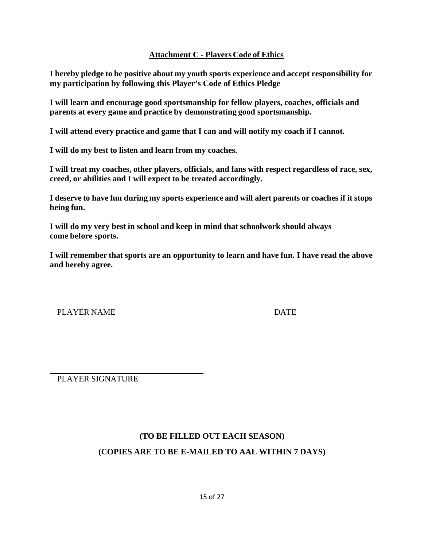# **Attachment C - Players Code of Ethics**

**I hereby pledge to be positive about my youth sports experience and accept responsibility for my participation by following this Player's Code of Ethics Pledge** 

**I will learn and encourage good sportsmanship for fellow players, coaches, officials and parents at every game and practice by demonstrating good sportsmanship.** 

**I will attend every practice and game that I can and will notify my coach if I cannot.** 

**I will do my best to listen and learn from my coaches.** 

**I will treat my coaches, other players, officials, and fans with respect regardless of race, sex, creed, or abilities and I will expect to be treated accordingly.** 

**I deserve to have fun during my sports experience and will alert parents or coaches if it stops being fun.** 

**I will do my very best in school and keep in mind that schoolwork should always come before sports.** 

**I will remember that sports are an opportunity to learn and have fun. I have read the above and hereby agree.** 

PLAYER NAME DATE

PLAYER SIGNATURE

# **(TO BE FILLED OUT EACH SEASON) (COPIES ARE TO BE E-MAILED TO AAL WITHIN 7 DAYS)**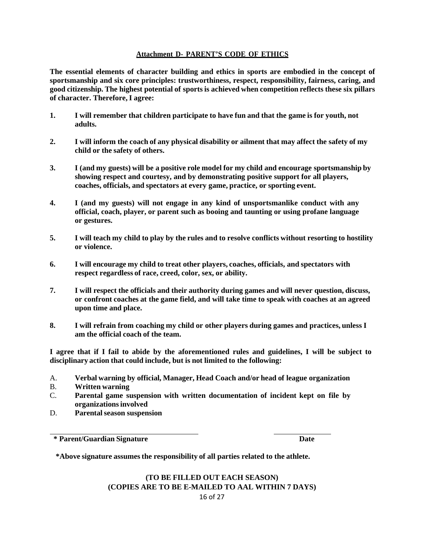#### **Attachment D- PARENT'S CODE OF ETHICS**

**The essential elements of character building and ethics in sports are embodied in the concept of sportsmanship and six core principles: trustworthiness, respect, responsibility, fairness, caring, and good citizenship. The highest potential of sports is achieved when competition reflects these six pillars of character. Therefore, I agree:** 

- **1. I will remember that children participate to have fun and that the game is for youth, not adults.**
- **2. I will inform the coach of any physical disability or ailment that may affect the safety of my child or the safety of others.**
- **3. I (and my guests) will be a positive role model for my child and encourage sportsmanship by showing respect and courtesy, and by demonstrating positive support for all players, coaches, officials, and spectators at every game, practice, or sporting event.**
- **4. I (and my guests) will not engage in any kind of unsportsmanlike conduct with any official, coach, player, or parent such as booing and taunting or using profane language or gestures.**
- **5. I will teach my child to play by the rules and to resolve conflicts without resorting to hostility or violence.**
- **6. I will encourage my child to treat other players, coaches, officials, and spectators with respect regardless of race, creed, color, sex, or ability.**
- **7. I will respect the officials and their authority during games and will never question, discuss, or confront coaches at the game field, and will take time to speak with coaches at an agreed upon time and place.**
- **8. I will refrain from coaching my child or other players during games and practices, unless I am the official coach of the team.**

**I agree that if I fail to abide by the aforementioned rules and guidelines, I will be subject to disciplinary action that could include, but is not limited to the following:** 

- A. **Verbal warning by official, Manager, Head Coach and/or head of league organization**
- B. **Written warning**
- C. **Parental game suspension with written documentation of incident kept on file by organizations involved**
- D. **Parental season suspension**

**\* Parent/Guardian Signature Date** 

**\*Above signature assumes the responsibility of all parties related to the athlete.** 

#### 16 of 27 **(TO BE FILLED OUT EACH SEASON) (COPIES ARE TO BE E-MAILED TO AAL WITHIN 7 DAYS)**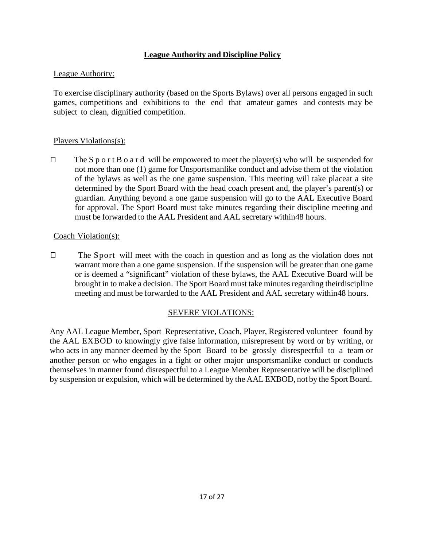# **League Authority and Discipline Policy**

### League Authority:

To exercise disciplinary authority (based on the Sports Bylaws) over all persons engaged in such games, competitions and exhibitions to the end that amateur games and contests may be subject to clean, dignified competition.

### Players Violations(s):

 $\Box$ The S p o r t B o a r d will be empowered to meet the player(s) who will be suspended for not more than one (1) game for Unsportsmanlike conduct and advise them of the violation of the bylaws as well as the one game suspension. This meeting will take place at a site determined by the Sport Board with the head coach present and, the player's parent(s) or guardian. Anything beyond a one game suspension will go to the AAL Executive Board for approval. The Sport Board must take minutes regarding their discipline meeting and must be forwarded to the AAL President and AAL secretary within 48 hours.

### Coach Violation(s):

 $\Box$  The Sport will meet with the coach in question and as long as the violation does not warrant more than a one game suspension. If the suspension will be greater than one game or is deemed a "significant" violation of these bylaws, the AAL Executive Board will be brought in to make a decision. The Sport Board must take minutes regarding their discipline meeting and must be forwarded to the AAL President and AAL secretary within 48 hours.

### SEVERE VIOLATIONS:

Any AAL League Member, Sport Representative, Coach, Player, Registered volunteer found by the AAL EXBOD to knowingly give false information, misrepresent by word or by writing, or who acts in any manner deemed by the Sport Board to be grossly disrespectful to a team or another person or who engages in a fight or other major unsportsmanlike conduct or conducts themselves in manner found disrespectful to a League Member Representative will be disciplined by suspension or expulsion, which will be determined by the AAL EXBOD, not by the Sport Board.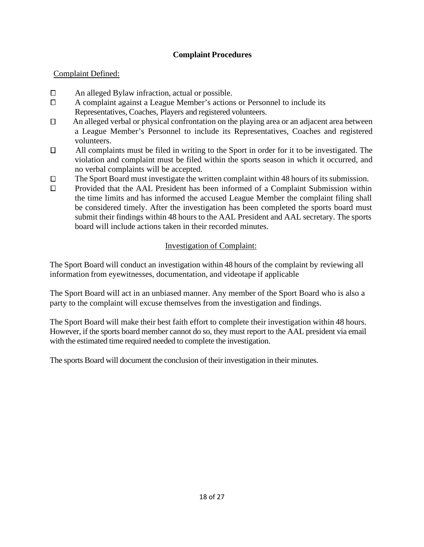# **Complaint Procedures**

# Complaint Defined:

- $\Box$ An alleged Bylaw infraction, actual or possible.
- $\Box$ A complaint against a League Member's actions or Personnel to include its Representatives, Coaches, Players and registered volunteers.
- $\Box$  An alleged verbal or physical confrontation on the playing area or an adjacent area between a League Member's Personnel to include its Representatives, Coaches and registered volunteers.
- $\Box$  All complaints must be filed in writing to the Sport in order for it to be investigated. The violation and complaint must be filed within the sports season in which it occurred, and no verbal complaints will be accepted.
- The Sport Board must investigate the written complaint within 48 hours of its submission.  $\Box$
- $\Box$ Provided that the AAL President has been informed of a Complaint Submission within the time limits and has informed the accused League Member the complaint filing shall be considered timely. After the investigation has been completed the sports board must submit their findings within 48 hours to the AAL President and AAL secretary. The sports board will include actions taken in their recorded minutes.

# Investigation of Complaint:

The Sport Board will conduct an investigation within 48 hours of the complaint by reviewing all information from eyewitnesses, documentation, and videotape if applicable

The Sport Board will act in an unbiased manner. Any member of the Sport Board who is also a party to the complaint will excuse themselves from the investigation and findings.

The Sport Board will make their best faith effort to complete their investigation within 48 hours. However, if the sports board member cannot do so, they must report to the AAL president via email with the estimated time required needed to complete the investigation.

The sports Board will document the conclusion of their investigation in their minutes.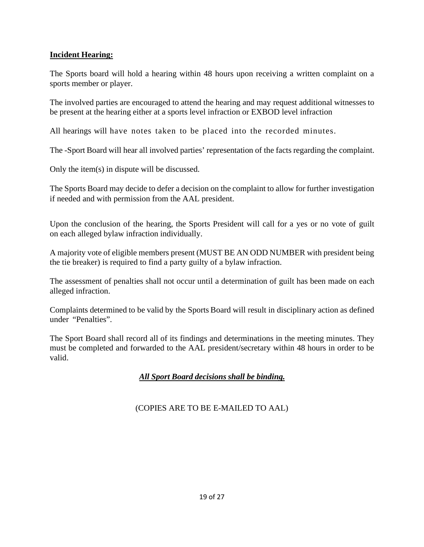# **Incident Hearing:**

The Sports board will hold a hearing within 48 hours upon receiving a written complaint on a sports member or player.

The involved parties are encouraged to attend the hearing and may request additional witnesses to be present at the hearing either at a sports level infraction or EXBOD level infraction

All hearings will have notes taken to be placed into the recorded minutes.

The -Sport Board will hear all involved parties' representation of the facts regarding the complaint.

Only the item(s) in dispute will be discussed.

The Sports Board may decide to defer a decision on the complaint to allow for further investigation if needed and with permission from the AAL president.

Upon the conclusion of the hearing, the Sports President will call for a yes or no vote of guilt on each alleged bylaw infraction individually.

A majority vote of eligible members present (MUST BE AN ODD NUMBER with president being the tie breaker) is required to find a party guilty of a bylaw infraction.

The assessment of penalties shall not occur until a determination of guilt has been made on each alleged infraction.

Complaints determined to be valid by the Sports Board will result in disciplinary action as defined under "Penalties".

The Sport Board shall record all of its findings and determinations in the meeting minutes. They must be completed and forwarded to the AAL president/secretary within 48 hours in order to be valid.

# *All Sport Board decisions shall be binding.*

### (COPIES ARE TO BE E-MAILED TO AAL)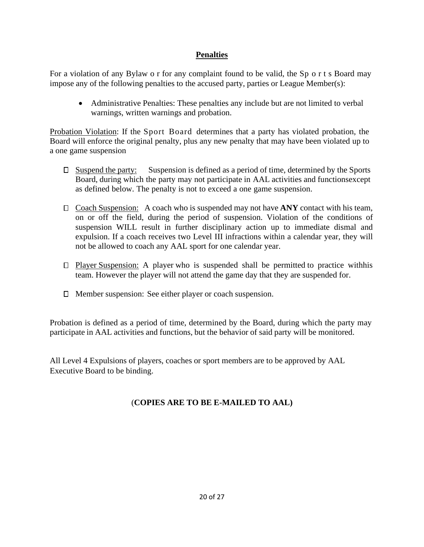# **Penalties**

For a violation of any Bylaw o r for any complaint found to be valid, the Sp o r t s Board may impose any of the following penalties to the accused party, parties or League Member(s):

 Administrative Penalties: These penalties any include but are not limited to verbal warnings, written warnings and probation.

Probation Violation: If the Sport Board determines that a party has violated probation, the Board will enforce the original penalty, plus any new penalty that may have been violated up to a one game suspension

- $\Box$  Suspend the party: Suspension is defined as a period of time, determined by the Sports Board, during which the party may not participate in AAL activities and functions except as defined below. The penalty is not to exceed a one game suspension.
- $\Box$  Coach Suspension: A coach who is suspended may not have ANY contact with his team, on or off the field, during the period of suspension. Violation of the conditions of suspension WILL result in further disciplinary action up to immediate dismal and expulsion. If a coach receives two Level III infractions within a calendar year, they will not be allowed to coach any AAL sport for one calendar year.
- $\Box$  Player Suspension: A player who is suspended shall be permitted to practice with his team. However the player will not attend the game day that they are suspended for.
- $\Box$  Member suspension: See either player or coach suspension.

Probation is defined as a period of time, determined by the Board, during which the party may participate in AAL activities and functions, but the behavior of said party will be monitored.

All Level 4 Expulsions of players, coaches or sport members are to be approved by AAL Executive Board to be binding.

# (**COPIES ARE TO BE E-MAILED TO AAL)**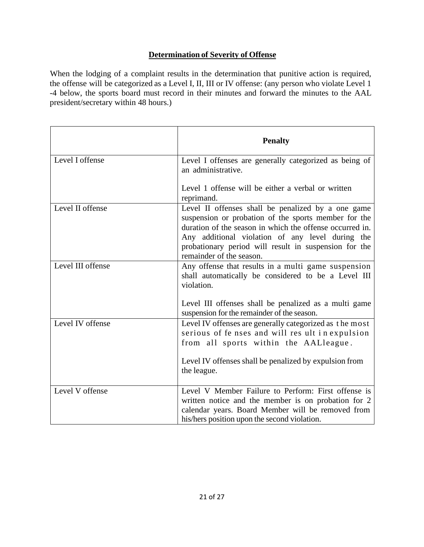# **Determination of Severity of Offense**

When the lodging of a complaint results in the determination that punitive action is required, the offense will be categorized as a Level I, II, III or IV offense: (any person who violate Level 1 -4 below, the sports board must record in their minutes and forward the minutes to the AAL president/secretary within 48 hours.)

|                   | <b>Penalty</b>                                                                                                                                                                                                                                                                                                  |
|-------------------|-----------------------------------------------------------------------------------------------------------------------------------------------------------------------------------------------------------------------------------------------------------------------------------------------------------------|
| Level I offense   | Level I offenses are generally categorized as being of<br>an administrative.                                                                                                                                                                                                                                    |
|                   | Level 1 offense will be either a verbal or written<br>reprimand.                                                                                                                                                                                                                                                |
| Level II offense  | Level II offenses shall be penalized by a one game<br>suspension or probation of the sports member for the<br>duration of the season in which the offense occurred in.<br>Any additional violation of any level during the<br>probationary period will result in suspension for the<br>remainder of the season. |
| Level III offense | Any offense that results in a multi game suspension<br>shall automatically be considered to be a Level III<br>violation.<br>Level III offenses shall be penalized as a multi game<br>suspension for the remainder of the season.                                                                                |
| Level IV offense  | Level IV offenses are generally categorized as the most<br>serious of fe nses and will res ult in expulsion<br>from all sports within the AALleague.<br>Level IV offenses shall be penalized by expulsion from<br>the league.                                                                                   |
| Level V offense   | Level V Member Failure to Perform: First offense is<br>written notice and the member is on probation for 2<br>calendar years. Board Member will be removed from<br>his/hers position upon the second violation.                                                                                                 |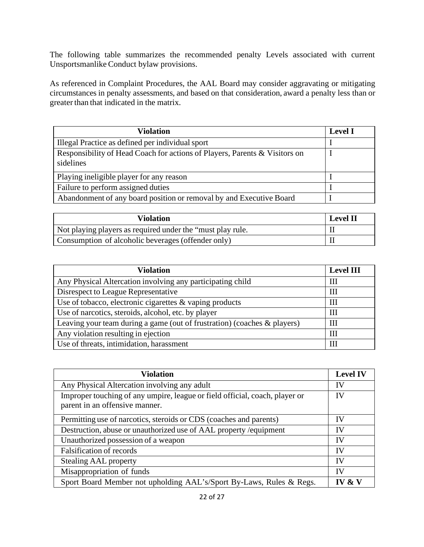The following table summarizes the recommended penalty Levels associated with current Unsportsmanlike Conduct bylaw provisions.

As referenced in Complaint Procedures, the AAL Board may consider aggravating or mitigating circumstances in penalty assessments, and based on that consideration, award a penalty less than or greater than that indicated in the matrix.

| <b>Violation</b>                                                                        | <b>Level I</b> |
|-----------------------------------------------------------------------------------------|----------------|
| Illegal Practice as defined per individual sport                                        |                |
| Responsibility of Head Coach for actions of Players, Parents & Visitors on<br>sidelines |                |
| Playing ineligible player for any reason                                                |                |
| Failure to perform assigned duties                                                      |                |
| Abandonment of any board position or removal by and Executive Board                     |                |

| <b>Violation</b>                                           | <b>Level II</b> |
|------------------------------------------------------------|-----------------|
| Not playing players as required under the "must play rule. |                 |
| Consumption of alcoholic beverages (offender only)         |                 |

| <b>Violation</b>                                                         | <b>Level III</b> |
|--------------------------------------------------------------------------|------------------|
| Any Physical Altercation involving any participating child               | Ш                |
| Disrespect to League Representative                                      | Ш                |
| Use of tobacco, electronic cigarettes & vaping products                  | Ш                |
| Use of narcotics, steroids, alcohol, etc. by player                      | Ш                |
| Leaving your team during a game (out of frustration) (coaches & players) | Ш                |
| Any violation resulting in ejection                                      | Ш                |
| Use of threats, intimidation, harassment                                 | Ш                |

| <b>Violation</b>                                                                                              | <b>Level IV</b> |
|---------------------------------------------------------------------------------------------------------------|-----------------|
| Any Physical Altercation involving any adult                                                                  | IV              |
| Improper touching of any umpire, league or field official, coach, player or<br>parent in an offensive manner. | IV              |
| Permitting use of narcotics, steroids or CDS (coaches and parents)                                            | IV              |
| Destruction, abuse or unauthorized use of AAL property /equipment                                             |                 |
| Unauthorized possession of a weapon                                                                           | IV              |
| <b>Falsification of records</b>                                                                               | IV              |
| <b>Stealing AAL property</b>                                                                                  | IV              |
| Misappropriation of funds                                                                                     | IV              |
| Sport Board Member not upholding AAL's/Sport By-Laws, Rules & Regs.                                           | IV & V          |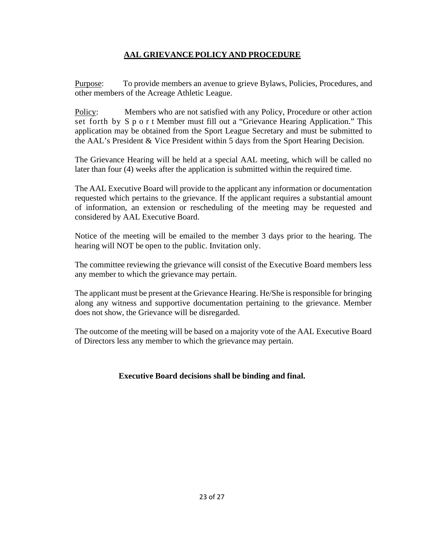# **AAL GRIEVANCE POLICY AND PROCEDURE**

Purpose: To provide members an avenue to grieve Bylaws, Policies, Procedures, and other members of the Acreage Athletic League.

Policy: Members who are not satisfied with any Policy, Procedure or other action set forth by S p o r t Member must fill out a "Grievance Hearing Application." This application may be obtained from the Sport League Secretary and must be submitted to the AAL's President & Vice President within 5 days from the Sport Hearing Decision.

The Grievance Hearing will be held at a special AAL meeting, which will be called no later than four (4) weeks after the application is submitted within the required time.

The AAL Executive Board will provide to the applicant any information or documentation requested which pertains to the grievance. If the applicant requires a substantial amount of information, an extension or rescheduling of the meeting may be requested and considered by AAL Executive Board.

Notice of the meeting will be emailed to the member 3 days prior to the hearing. The hearing will NOT be open to the public. Invitation only.

The committee reviewing the grievance will consist of the Executive Board members less any member to which the grievance may pertain.

The applicant must be present at the Grievance Hearing. He/She is responsible for bringing along any witness and supportive documentation pertaining to the grievance. Member does not show, the Grievance will be disregarded.

The outcome of the meeting will be based on a majority vote of the AAL Executive Board of Directors less any member to which the grievance may pertain.

### **Executive Board decisions shall be binding and final.**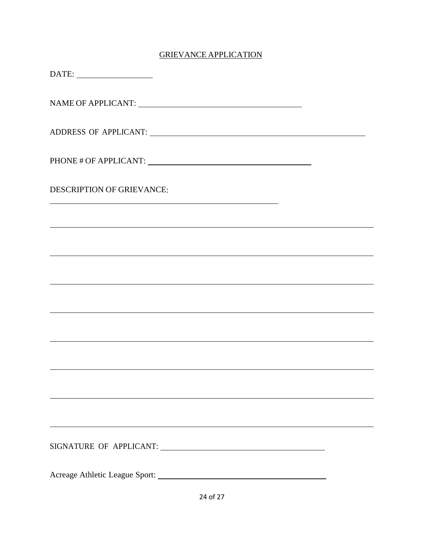# GRIEVANCE APPLICATION

| $\text{DATE:}\underbrace{\qquad \qquad }_{\qquad \qquad \qquad \qquad }\qquad \qquad \qquad }_{\qquad \qquad \qquad \qquad }\qquad \qquad \qquad ~~\qquad \qquad ~~\qquad \qquad ~~\qquad \qquad ~~\qquad \qquad ~~\qquad \qquad ~~\qquad \qquad ~~\qquad \qquad ~~\qquad \qquad ~~\qquad \qquad ~~\qquad \qquad ~~\qquad \qquad ~~\qquad \qquad ~~\qquad \qquad ~~\qquad \qquad ~~\qquad \qquad ~~\qquad \qquad ~~\qquad \qquad ~~\qquad \qquad ~~\qquad \qquad ~~\qquad \qquad ~~\qquad \qquad ~~\qquad \qquad ~~\qquad \$ |
|------------------------------------------------------------------------------------------------------------------------------------------------------------------------------------------------------------------------------------------------------------------------------------------------------------------------------------------------------------------------------------------------------------------------------------------------------------------------------------------------------------------------------|
|                                                                                                                                                                                                                                                                                                                                                                                                                                                                                                                              |
|                                                                                                                                                                                                                                                                                                                                                                                                                                                                                                                              |
|                                                                                                                                                                                                                                                                                                                                                                                                                                                                                                                              |
| <b>DESCRIPTION OF GRIEVANCE:</b><br>the control of the control of the control of the control of the control of the control of                                                                                                                                                                                                                                                                                                                                                                                                |
| ,我们也不能会有什么。""我们的人,我们也不能会有什么?""我们的人,我们也不能会有什么?""我们的人,我们也不能会有什么?""我们的人,我们也不能会有什么?""                                                                                                                                                                                                                                                                                                                                                                                                                                            |
|                                                                                                                                                                                                                                                                                                                                                                                                                                                                                                                              |
|                                                                                                                                                                                                                                                                                                                                                                                                                                                                                                                              |
|                                                                                                                                                                                                                                                                                                                                                                                                                                                                                                                              |
|                                                                                                                                                                                                                                                                                                                                                                                                                                                                                                                              |
| <u> 1989 - Johann Stoff, die Stoff von Berling von Berling von Berling von Berling von Berling von Berling von Be</u>                                                                                                                                                                                                                                                                                                                                                                                                        |
|                                                                                                                                                                                                                                                                                                                                                                                                                                                                                                                              |
|                                                                                                                                                                                                                                                                                                                                                                                                                                                                                                                              |
| SIGNATURE OF APPLICANT:                                                                                                                                                                                                                                                                                                                                                                                                                                                                                                      |
| Acreage Athletic League Sport:                                                                                                                                                                                                                                                                                                                                                                                                                                                                                               |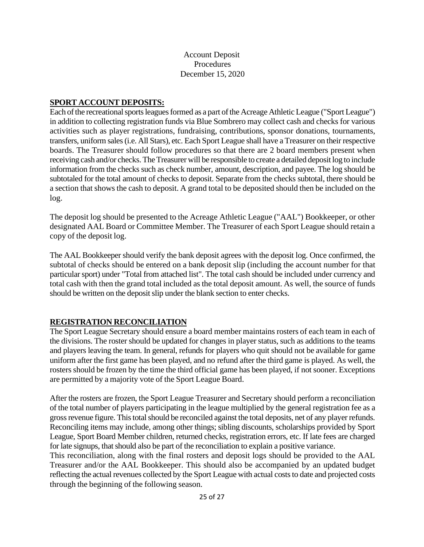### Account Deposit Procedures December 15, 2020

### **SPORT ACCOUNT DEPOSITS:**

Each of the recreational sports leagues formed as a part of the Acreage Athletic League ("Sport League") in addition to collecting registration funds via Blue Sombrero may collect cash and checks for various activities such as player registrations, fundraising, contributions, sponsor donations, tournaments, transfers, uniform sales (i.e. All Stars), etc. Each Sport League shall have a Treasurer on their respective boards. The Treasurer should follow procedures so that there are 2 board members present when receiving cash and/or checks. The Treasurer will be responsible to create a detailed deposit log to include information from the checks such as check number, amount, description, and payee. The log should be subtotaled for the total amount of checks to deposit. Separate from the checks subtotal, there should be a section that shows the cash to deposit. A grand total to be deposited should then be included on the log.

The deposit log should be presented to the Acreage Athletic League ("AAL") Bookkeeper, or other designated AAL Board or Committee Member. The Treasurer of each Sport League should retain a copy of the deposit log.

The AAL Bookkeeper should verify the bank deposit agrees with the deposit log. Once confirmed, the subtotal of checks should be entered on a bank deposit slip (including the account number for that particular sport) under "Total from attached list". The total cash should be included under currency and total cash with then the grand total included as the total deposit amount. As well, the source of funds should be written on the deposit slip under the blank section to enter checks.

### **REGISTRATION RECONCILIATION**

The Sport League Secretary should ensure a board member maintains rosters of each team in each of the divisions. The roster should be updated for changes in player status, such as additions to the teams and players leaving the team. In general, refunds for players who quit should not be available for game uniform after the first game has been played, and no refund after the third game is played. As well, the rosters should be frozen by the time the third official game has been played, if not sooner. Exceptions are permitted by a majority vote of the Sport League Board.

After the rosters are frozen, the Sport League Treasurer and Secretary should perform a reconciliation of the total number of players participating in the league multiplied by the general registration fee as a gross revenue figure. This total should be reconciled against the total deposits, net of any player refunds. Reconciling items may include, among other things; sibling discounts, scholarships provided by Sport League, Sport Board Member children, returned checks, registration errors, etc. If late fees are charged for late signups, that should also be part of the reconciliation to explain a positive variance.

This reconciliation, along with the final rosters and deposit logs should be provided to the AAL Treasurer and/or the AAL Bookkeeper. This should also be accompanied by an updated budget reflecting the actual revenues collected by the Sport League with actual costs to date and projected costs through the beginning of the following season.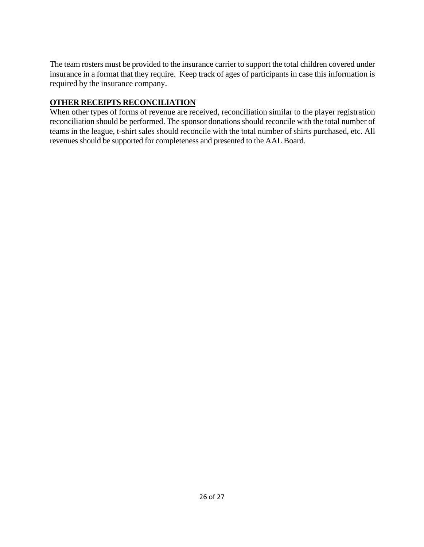The team rosters must be provided to the insurance carrier to support the total children covered under insurance in a format that they require. Keep track of ages of participants in case this information is required by the insurance company.

# **OTHER RECEIPTS RECONCILIATION**

When other types of forms of revenue are received, reconciliation similar to the player registration reconciliation should be performed. The sponsor donations should reconcile with the total number of teams in the league, t-shirt sales should reconcile with the total number of shirts purchased, etc. All revenues should be supported for completeness and presented to the AAL Board.